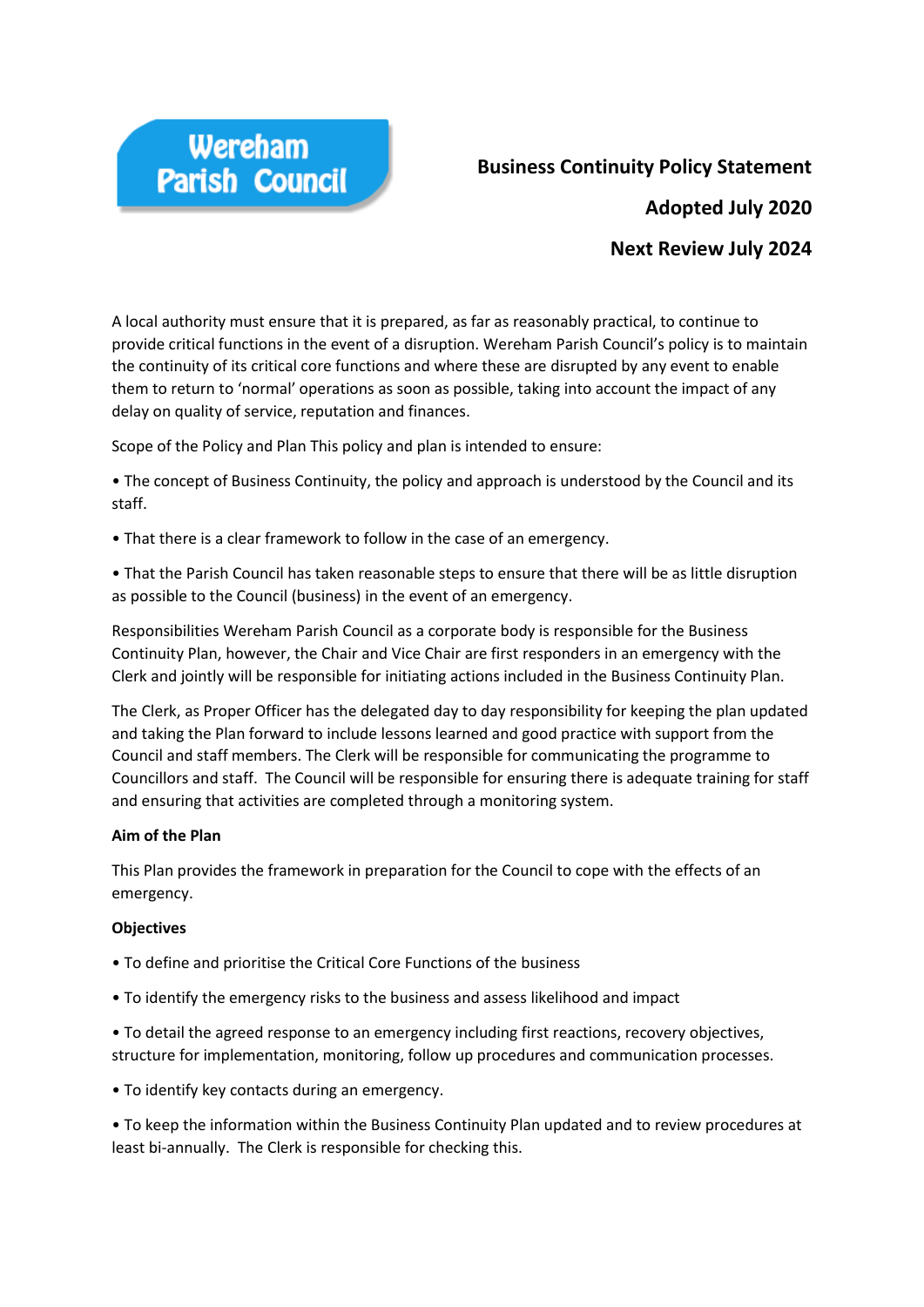

# **Business Continuity Policy Statement**

**Adopted July 2020**

# **Next Review July 2024**

A local authority must ensure that it is prepared, as far as reasonably practical, to continue to provide critical functions in the event of a disruption. Wereham Parish Council's policy is to maintain the continuity of its critical core functions and where these are disrupted by any event to enable them to return to 'normal' operations as soon as possible, taking into account the impact of any delay on quality of service, reputation and finances.

Scope of the Policy and Plan This policy and plan is intended to ensure:

• The concept of Business Continuity, the policy and approach is understood by the Council and its staff.

• That there is a clear framework to follow in the case of an emergency.

• That the Parish Council has taken reasonable steps to ensure that there will be as little disruption as possible to the Council (business) in the event of an emergency.

Responsibilities Wereham Parish Council as a corporate body is responsible for the Business Continuity Plan, however, the Chair and Vice Chair are first responders in an emergency with the Clerk and jointly will be responsible for initiating actions included in the Business Continuity Plan.

The Clerk, as Proper Officer has the delegated day to day responsibility for keeping the plan updated and taking the Plan forward to include lessons learned and good practice with support from the Council and staff members. The Clerk will be responsible for communicating the programme to Councillors and staff. The Council will be responsible for ensuring there is adequate training for staff and ensuring that activities are completed through a monitoring system.

# **Aim of the Plan**

This Plan provides the framework in preparation for the Council to cope with the effects of an emergency.

# **Objectives**

- To define and prioritise the Critical Core Functions of the business
- To identify the emergency risks to the business and assess likelihood and impact

• To detail the agreed response to an emergency including first reactions, recovery objectives, structure for implementation, monitoring, follow up procedures and communication processes.

• To identify key contacts during an emergency.

• To keep the information within the Business Continuity Plan updated and to review procedures at least bi-annually. The Clerk is responsible for checking this.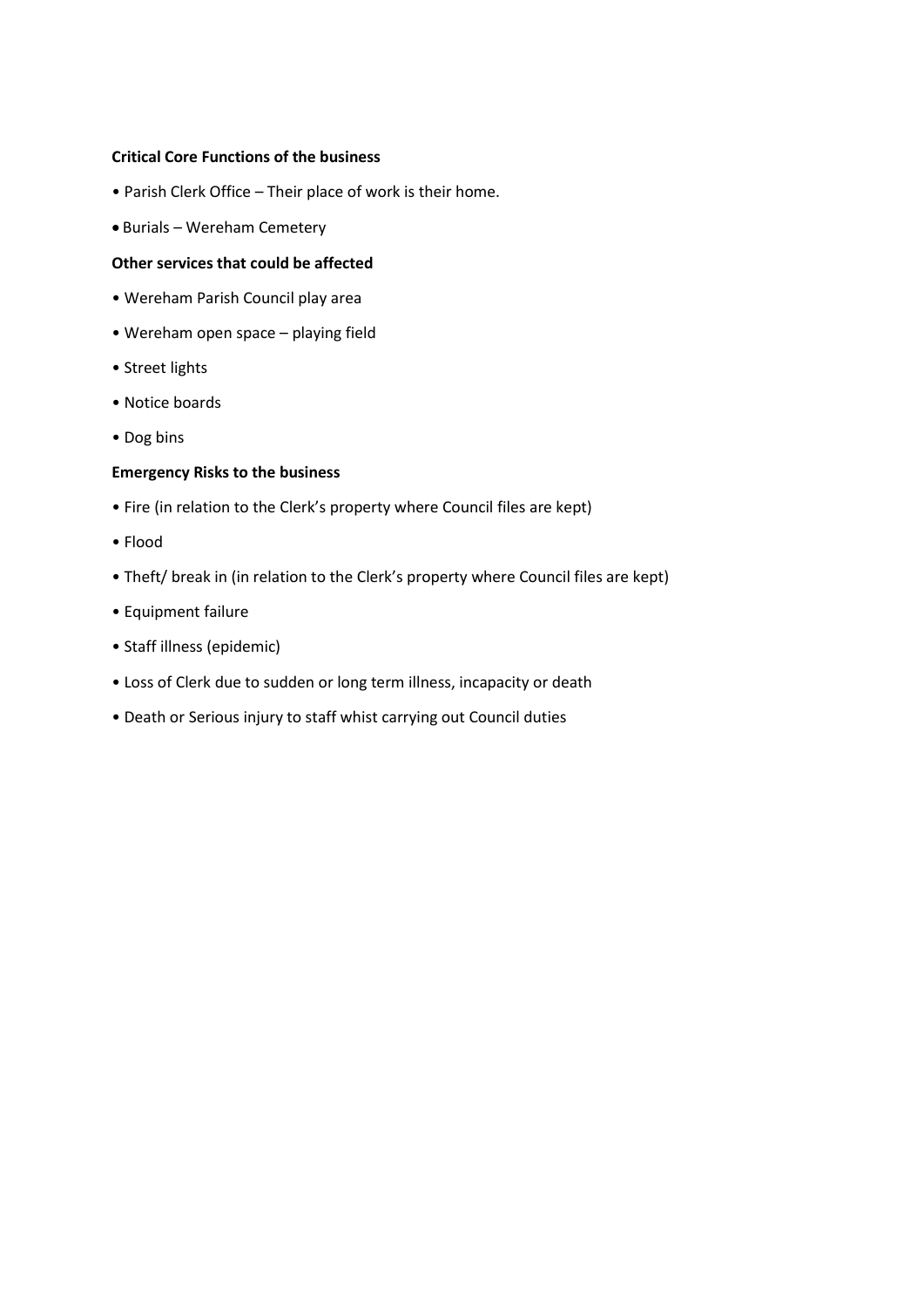## **Critical Core Functions of the business**

- Parish Clerk Office Their place of work is their home.
- Burials Wereham Cemetery

## **Other services that could be affected**

- Wereham Parish Council play area
- Wereham open space playing field
- Street lights
- Notice boards
- Dog bins

#### **Emergency Risks to the business**

- Fire (in relation to the Clerk's property where Council files are kept)
- Flood
- Theft/ break in (in relation to the Clerk's property where Council files are kept)
- Equipment failure
- Staff illness (epidemic)
- Loss of Clerk due to sudden or long term illness, incapacity or death
- Death or Serious injury to staff whist carrying out Council duties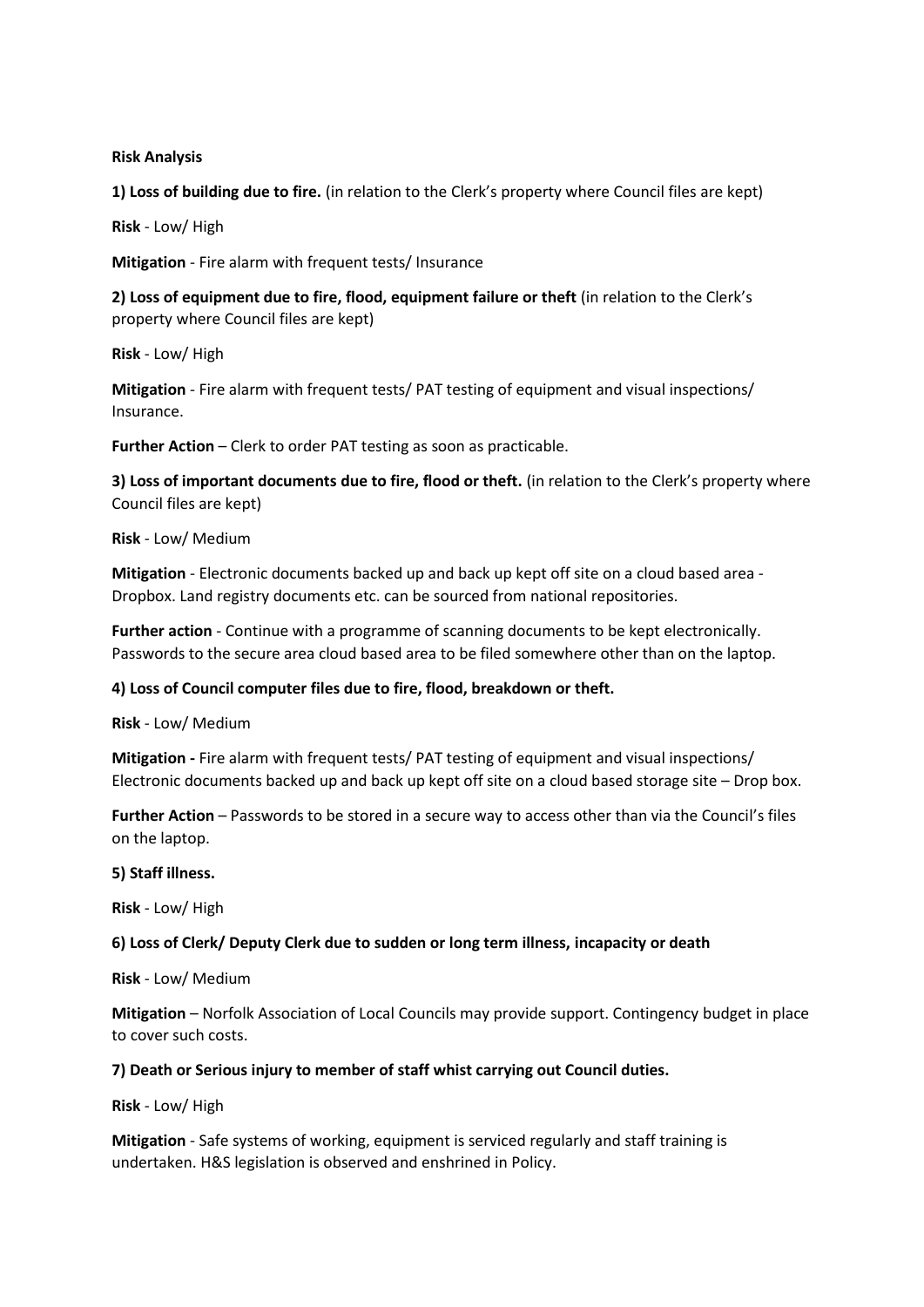#### **Risk Analysis**

**1) Loss of building due to fire.** (in relation to the Clerk's property where Council files are kept)

**Risk** - Low/ High

**Mitigation** - Fire alarm with frequent tests/ Insurance

**2) Loss of equipment due to fire, flood, equipment failure or theft** (in relation to the Clerk's property where Council files are kept)

**Risk** - Low/ High

**Mitigation** - Fire alarm with frequent tests/ PAT testing of equipment and visual inspections/ Insurance.

**Further Action** – Clerk to order PAT testing as soon as practicable.

**3) Loss of important documents due to fire, flood or theft.** (in relation to the Clerk's property where Council files are kept)

**Risk** - Low/ Medium

**Mitigation** - Electronic documents backed up and back up kept off site on a cloud based area - Dropbox. Land registry documents etc. can be sourced from national repositories.

**Further action** - Continue with a programme of scanning documents to be kept electronically. Passwords to the secure area cloud based area to be filed somewhere other than on the laptop.

#### **4) Loss of Council computer files due to fire, flood, breakdown or theft.**

**Risk** - Low/ Medium

**Mitigation -** Fire alarm with frequent tests/ PAT testing of equipment and visual inspections/ Electronic documents backed up and back up kept off site on a cloud based storage site – Drop box.

**Further Action** – Passwords to be stored in a secure way to access other than via the Council's files on the laptop.

**5) Staff illness.** 

**Risk** - Low/ High

#### **6) Loss of Clerk/ Deputy Clerk due to sudden or long term illness, incapacity or death**

**Risk** - Low/ Medium

**Mitigation** – Norfolk Association of Local Councils may provide support. Contingency budget in place to cover such costs.

#### **7) Death or Serious injury to member of staff whist carrying out Council duties.**

**Risk** - Low/ High

**Mitigation** - Safe systems of working, equipment is serviced regularly and staff training is undertaken. H&S legislation is observed and enshrined in Policy.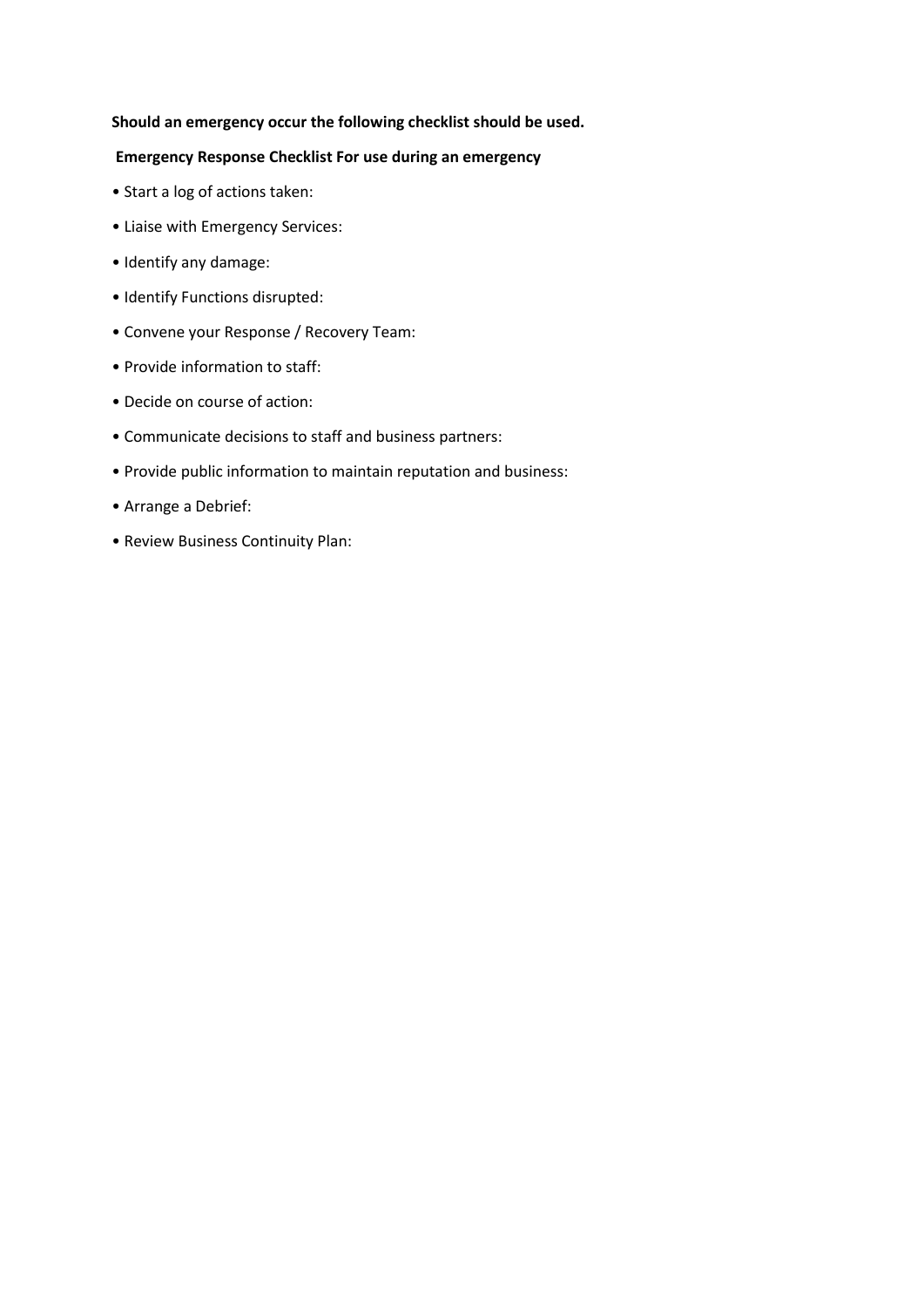#### **Should an emergency occur the following checklist should be used.**

### **Emergency Response Checklist For use during an emergency**

- Start a log of actions taken:
- Liaise with Emergency Services:
- Identify any damage:
- Identify Functions disrupted:
- Convene your Response / Recovery Team:
- Provide information to staff:
- Decide on course of action:
- Communicate decisions to staff and business partners:
- Provide public information to maintain reputation and business:
- Arrange a Debrief:
- Review Business Continuity Plan: